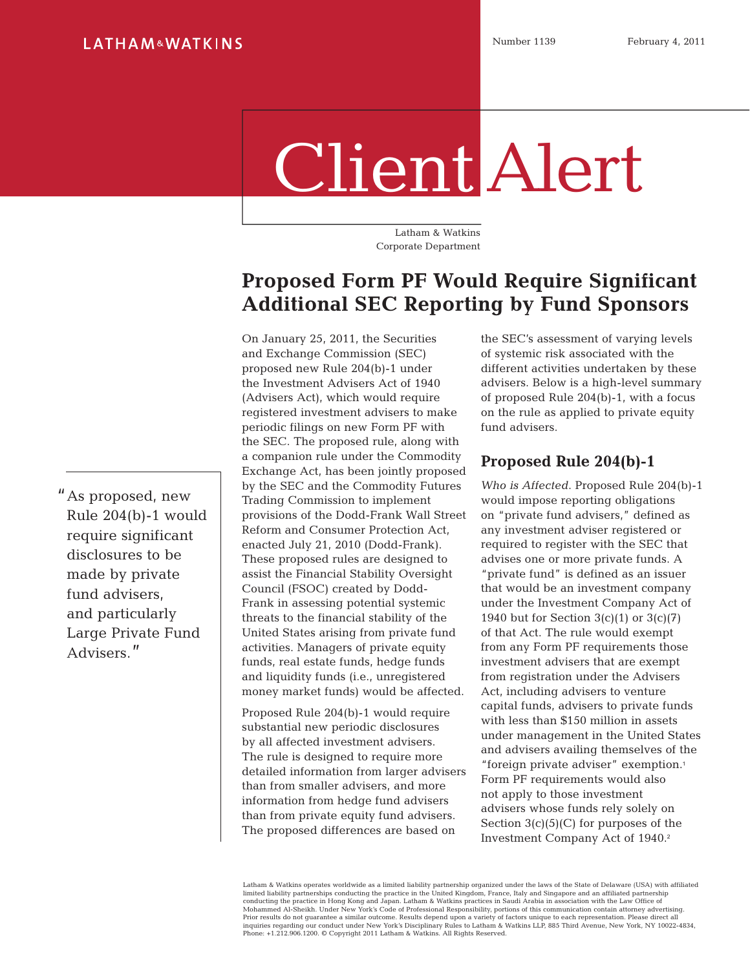# Client Alert

Latham & Watkins Corporate Department

## **Proposed Form PF Would Require Significant Additional SEC Reporting by Fund Sponsors**

On January 25, 2011, the Securities and Exchange Commission (SEC) proposed new Rule 204(b)-1 under the Investment Advisers Act of 1940 (Advisers Act), which would require registered investment advisers to make periodic filings on new Form PF with the SEC. The proposed rule, along with a companion rule under the Commodity Exchange Act, has been jointly proposed by the SEC and the Commodity Futures Trading Commission to implement provisions of the Dodd-Frank Wall Street Reform and Consumer Protection Act, enacted July 21, 2010 (Dodd-Frank). These proposed rules are designed to assist the Financial Stability Oversight Council (FSOC) created by Dodd-Frank in assessing potential systemic threats to the financial stability of the United States arising from private fund activities. Managers of private equity funds, real estate funds, hedge funds and liquidity funds (i.e., unregistered money market funds) would be affected.

Proposed Rule 204(b)-1 would require substantial new periodic disclosures by all affected investment advisers. The rule is designed to require more detailed information from larger advisers than from smaller advisers, and more information from hedge fund advisers than from private equity fund advisers. The proposed differences are based on

the SEC's assessment of varying levels of systemic risk associated with the different activities undertaken by these advisers. Below is a high-level summary of proposed Rule 204(b)-1, with a focus on the rule as applied to private equity fund advisers.

#### **Proposed Rule 204(b)-1**

*Who is Affected*. Proposed Rule 204(b)-1 would impose reporting obligations on "private fund advisers," defined as any investment adviser registered or required to register with the SEC that advises one or more private funds. A "private fund" is defined as an issuer that would be an investment company under the Investment Company Act of 1940 but for Section  $3(c)(1)$  or  $3(c)(7)$ of that Act. The rule would exempt from any Form PF requirements those investment advisers that are exempt from registration under the Advisers Act, including advisers to venture capital funds, advisers to private funds with less than \$150 million in assets under management in the United States and advisers availing themselves of the "foreign private adviser" exemption.<sup>1</sup> Form PF requirements would also not apply to those investment advisers whose funds rely solely on Section  $3(c)(5)(C)$  for purposes of the Investment Company Act of 1940.2

Latham & Watkins operates worldwide as a limited liability partnership organized under the laws of the State of Delaware (USA) with affiliated limited liability partnerships conducting the practice in the United Kingdom, France, Italy and Singapore and an affiliated partnership<br>conducting the practice in Hong Kong and Japan. Latham & Watkins practices in Saudi Ar inquiries regarding our conduct under New York's Disciplinary Rules to Latham & Watkins LLP, 885 Third Avenue, New York, NY 10022-4834, Phone: +1.212.906.1200. © Copyright 2011 Latham & Watkins. All Rights Reserved.

"As proposed, new Rule 204(b)-1 would require significant disclosures to be made by private fund advisers, and particularly Large Private Fund Advisers."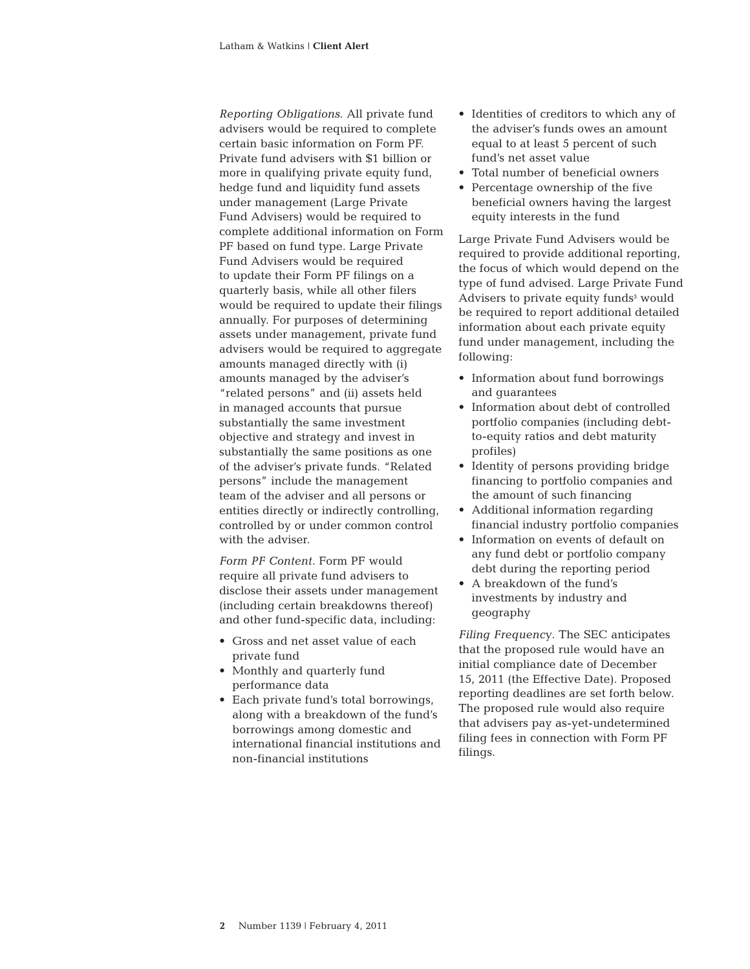*Reporting Obligations*. All private fund advisers would be required to complete certain basic information on Form PF. Private fund advisers with \$1 billion or more in qualifying private equity fund, hedge fund and liquidity fund assets under management (Large Private Fund Advisers) would be required to complete additional information on Form PF based on fund type. Large Private Fund Advisers would be required to update their Form PF filings on a quarterly basis, while all other filers would be required to update their filings annually. For purposes of determining assets under management, private fund advisers would be required to aggregate amounts managed directly with (i) amounts managed by the adviser's "related persons" and (ii) assets held in managed accounts that pursue substantially the same investment objective and strategy and invest in substantially the same positions as one of the adviser's private funds. "Related persons" include the management team of the adviser and all persons or entities directly or indirectly controlling, controlled by or under common control with the adviser.

*Form PF Content*. Form PF would require all private fund advisers to disclose their assets under management (including certain breakdowns thereof) and other fund-specific data, including:

- Gross and net asset value of each private fund
- Monthly and quarterly fund performance data
- Each private fund's total borrowings, along with a breakdown of the fund's borrowings among domestic and international financial institutions and non-financial institutions
- Identities of creditors to which any of the adviser's funds owes an amount equal to at least 5 percent of such fund's net asset value
- Total number of beneficial owners
- Percentage ownership of the five beneficial owners having the largest equity interests in the fund

Large Private Fund Advisers would be required to provide additional reporting, the focus of which would depend on the type of fund advised. Large Private Fund Advisers to private equity funds<sup>3</sup> would be required to report additional detailed information about each private equity fund under management, including the following:

- Information about fund borrowings and guarantees
- Information about debt of controlled portfolio companies (including debtto-equity ratios and debt maturity profiles)
- Identity of persons providing bridge financing to portfolio companies and the amount of such financing
- Additional information regarding financial industry portfolio companies
- Information on events of default on any fund debt or portfolio company debt during the reporting period
- A breakdown of the fund's investments by industry and geography

*Filing Frequency*. The SEC anticipates that the proposed rule would have an initial compliance date of December 15, 2011 (the Effective Date). Proposed reporting deadlines are set forth below. The proposed rule would also require that advisers pay as-yet-undetermined filing fees in connection with Form PF filings.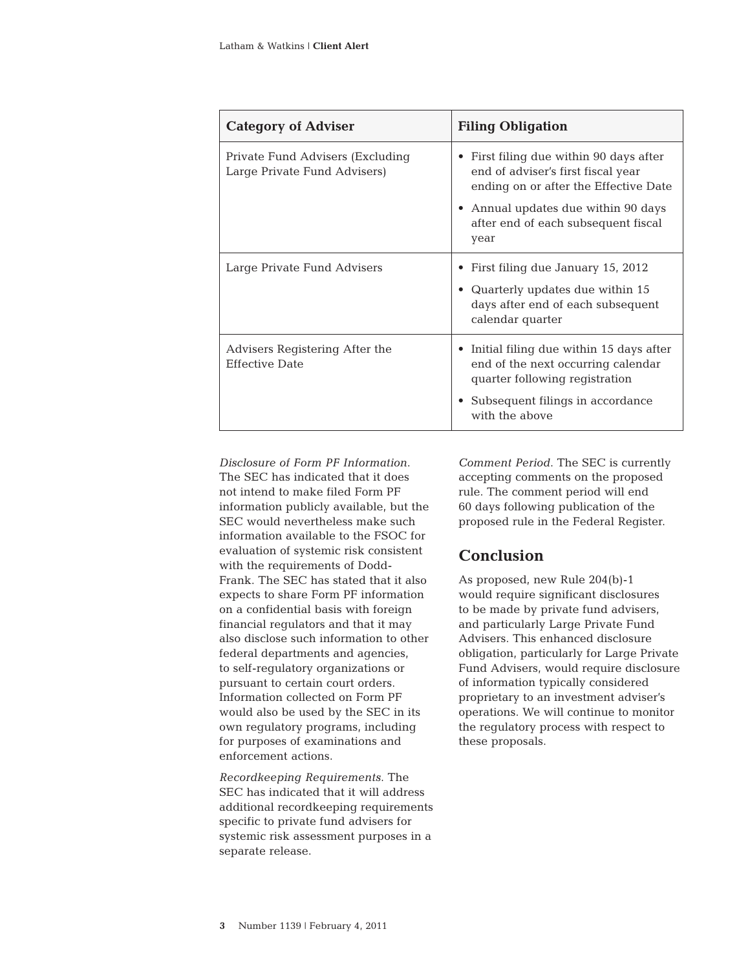| <b>Category of Adviser</b>                                        | <b>Filing Obligation</b>                                                                                                                                                                                      |  |
|-------------------------------------------------------------------|---------------------------------------------------------------------------------------------------------------------------------------------------------------------------------------------------------------|--|
| Private Fund Advisers (Excluding)<br>Large Private Fund Advisers) | First filing due within 90 days after<br>٠<br>end of adviser's first fiscal year<br>ending on or after the Effective Date<br>Annual updates due within 90 days<br>after end of each subsequent fiscal<br>year |  |
| Large Private Fund Advisers                                       | First filing due January 15, 2012<br>• Quarterly updates due within 15<br>days after end of each subsequent<br>calendar quarter                                                                               |  |
| Advisers Registering After the<br><b>Effective Date</b>           | Initial filing due within 15 days after<br>end of the next occurring calendar<br>quarter following registration<br>Subsequent filings in accordance<br>with the above                                         |  |

*Disclosure of Form PF Information*. The SEC has indicated that it does not intend to make filed Form PF information publicly available, but the SEC would nevertheless make such information available to the FSOC for evaluation of systemic risk consistent with the requirements of Dodd-Frank. The SEC has stated that it also expects to share Form PF information on a confidential basis with foreign financial regulators and that it may also disclose such information to other federal departments and agencies, to self-regulatory organizations or pursuant to certain court orders. Information collected on Form PF would also be used by the SEC in its own regulatory programs, including for purposes of examinations and enforcement actions.

*Recordkeeping Requirements*. The SEC has indicated that it will address additional recordkeeping requirements specific to private fund advisers for systemic risk assessment purposes in a separate release.

*Comment Period*. The SEC is currently accepting comments on the proposed rule. The comment period will end 60 days following publication of the proposed rule in the Federal Register.

### **Conclusion**

As proposed, new Rule 204(b)-1 would require significant disclosures to be made by private fund advisers, and particularly Large Private Fund Advisers. This enhanced disclosure obligation, particularly for Large Private Fund Advisers, would require disclosure of information typically considered proprietary to an investment adviser's operations. We will continue to monitor the regulatory process with respect to these proposals.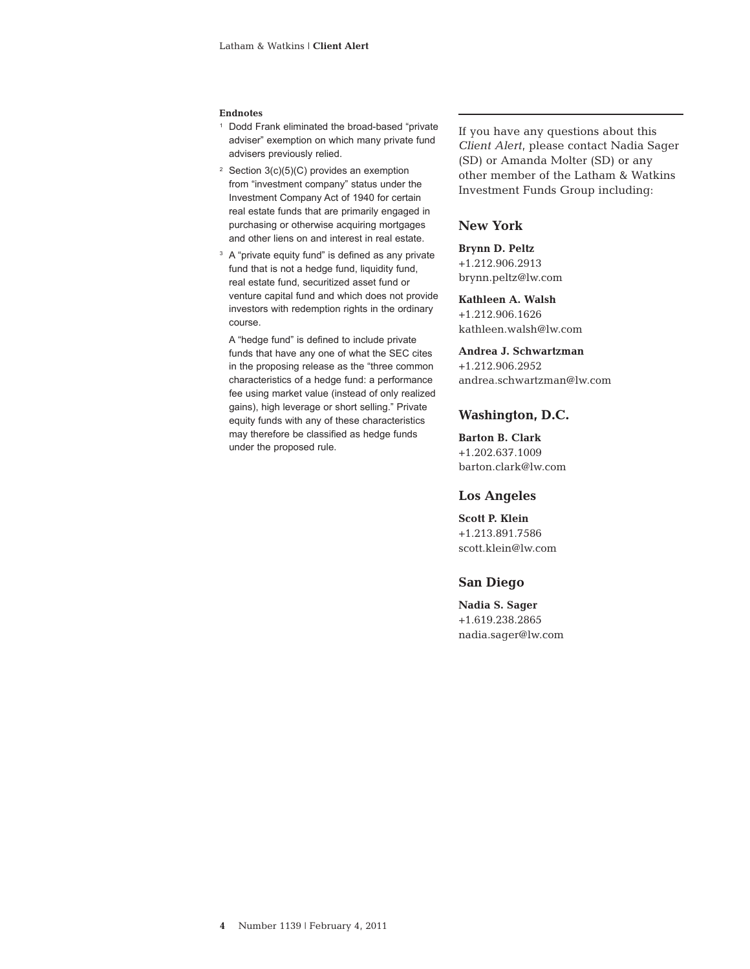#### **Endnotes**

- <sup>1</sup> Dodd Frank eliminated the broad-based "private adviser" exemption on which many private fund advisers previously relied.
- <sup>2</sup> Section  $3(c)(5)(C)$  provides an exemption from "investment company" status under the Investment Company Act of 1940 for certain real estate funds that are primarily engaged in purchasing or otherwise acquiring mortgages and other liens on and interest in real estate.
- <sup>3</sup> A "private equity fund" is defined as any private fund that is not a hedge fund, liquidity fund, real estate fund, securitized asset fund or venture capital fund and which does not provide investors with redemption rights in the ordinary course.

 A "hedge fund" is defined to include private funds that have any one of what the SEC cites in the proposing release as the "three common characteristics of a hedge fund: a performance fee using market value (instead of only realized gains), high leverage or short selling." Private equity funds with any of these characteristics may therefore be classified as hedge funds under the proposed rule.

If you have any questions about this *Client Alert*, please contact Nadia Sager (SD) or Amanda Molter (SD) or any other member of the Latham & Watkins Investment Funds Group including:

#### **New York**

#### **Brynn D. Peltz**

+1.212.906.2913 brynn.peltz@lw.com

**Kathleen A. Walsh** +1.212.906.1626 kathleen.walsh@lw.com

#### **Andrea J. Schwartzman**

+1.212.906.2952 andrea.schwartzman@lw.com

#### **Washington, D.C.**

**Barton B. Clark** +1.202.637.1009 barton.clark@lw.com

#### **Los Angeles**

**Scott P. Klein** +1.213.891.7586 scott.klein@lw.com

#### **San Diego**

**Nadia S. Sager** +1.619.238.2865 nadia.sager@lw.com